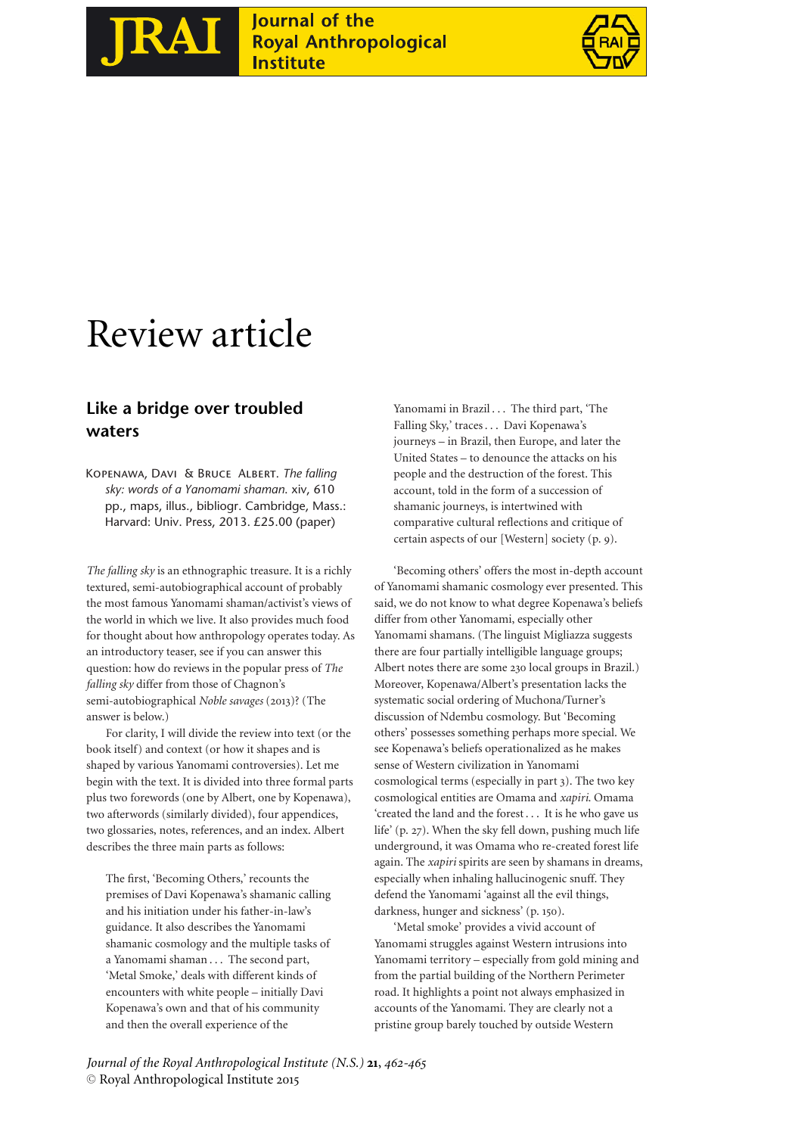

Journal of the **Royal Anthropological Institute** 



# Review article

### **Like a bridge over troubled waters**

Kopenawa, Davi & Bruce Albert. *The falling sky: words of a Yanomami shaman*. xiv, 610 pp., maps, illus., bibliogr. Cambridge, Mass.: Harvard: Univ. Press, 2013. £25.00 (paper)

*The falling sky* is an ethnographic treasure. It is a richly textured, semi-autobiographical account of probably the most famous Yanomami shaman/activist's views of the world in which we live. It also provides much food for thought about how anthropology operates today. As an introductory teaser, see if you can answer this question: how do reviews in the popular press of *The falling sky* differ from those of Chagnon's semi-autobiographical *Noble savages* (2013)? (The answer is below.)

For clarity, I will divide the review into text (or the book itself) and context (or how it shapes and is shaped by various Yanomami controversies). Let me begin with the text. It is divided into three formal parts plus two forewords (one by Albert, one by Kopenawa), two afterwords (similarly divided), four appendices, two glossaries, notes, references, and an index. Albert describes the three main parts as follows:

The first, 'Becoming Others,' recounts the premises of Davi Kopenawa's shamanic calling and his initiation under his father-in-law's guidance. It also describes the Yanomami shamanic cosmology and the multiple tasks of a Yanomami shaman . . . The second part, 'Metal Smoke,' deals with different kinds of encounters with white people – initially Davi Kopenawa's own and that of his community and then the overall experience of the

Yanomami in Brazil . . . The third part, 'The Falling Sky,' traces . . . Davi Kopenawa's journeys – in Brazil, then Europe, and later the United States – to denounce the attacks on his people and the destruction of the forest. This account, told in the form of a succession of shamanic journeys, is intertwined with comparative cultural reflections and critique of certain aspects of our [Western] society (p. 9).

'Becoming others' offers the most in-depth account of Yanomami shamanic cosmology ever presented. This said, we do not know to what degree Kopenawa's beliefs differ from other Yanomami, especially other Yanomami shamans. (The linguist Migliazza suggests there are four partially intelligible language groups; Albert notes there are some 230 local groups in Brazil.) Moreover, Kopenawa/Albert's presentation lacks the systematic social ordering of Muchona/Turner's discussion of Ndembu cosmology. But 'Becoming others' possesses something perhaps more special. We see Kopenawa's beliefs operationalized as he makes sense of Western civilization in Yanomami cosmological terms (especially in part 3). The two key cosmological entities are Omama and *xapiri*. Omama 'created the land and the forest . . . It is he who gave us life' (p. 27). When the sky fell down, pushing much life underground, it was Omama who re-created forest life again. The *xapiri* spirits are seen by shamans in dreams, especially when inhaling hallucinogenic snuff. They defend the Yanomami 'against all the evil things, darkness, hunger and sickness' (p. 150).

'Metal smoke' provides a vivid account of Yanomami struggles against Western intrusions into Yanomami territory – especially from gold mining and from the partial building of the Northern Perimeter road. It highlights a point not always emphasized in accounts of the Yanomami. They are clearly not a pristine group barely touched by outside Western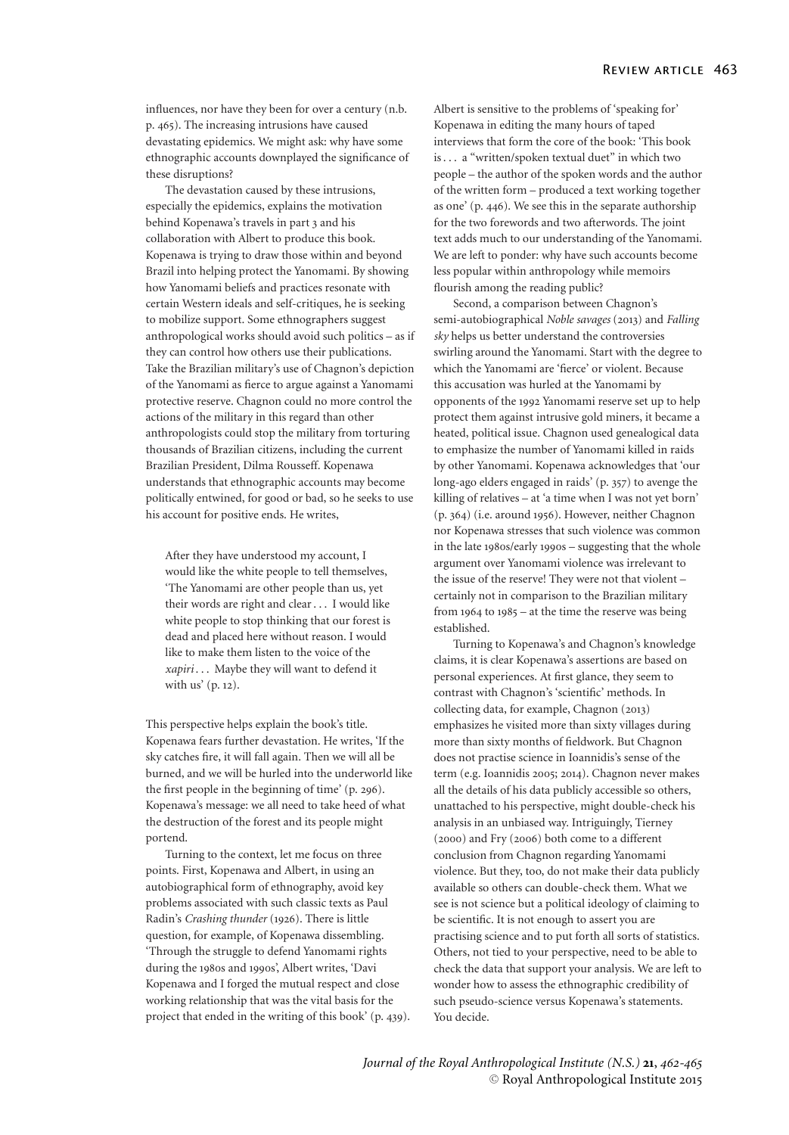influences, nor have they been for over a century (n.b. p. 465). The increasing intrusions have caused devastating epidemics. We might ask: why have some ethnographic accounts downplayed the significance of these disruptions?

The devastation caused by these intrusions, especially the epidemics, explains the motivation behind Kopenawa's travels in part 3 and his collaboration with Albert to produce this book. Kopenawa is trying to draw those within and beyond Brazil into helping protect the Yanomami. By showing how Yanomami beliefs and practices resonate with certain Western ideals and self-critiques, he is seeking to mobilize support. Some ethnographers suggest anthropological works should avoid such politics – as if they can control how others use their publications. Take the Brazilian military's use of Chagnon's depiction of the Yanomami as fierce to argue against a Yanomami protective reserve. Chagnon could no more control the actions of the military in this regard than other anthropologists could stop the military from torturing thousands of Brazilian citizens, including the current Brazilian President, Dilma Rousseff. Kopenawa understands that ethnographic accounts may become politically entwined, for good or bad, so he seeks to use his account for positive ends. He writes,

After they have understood my account, I would like the white people to tell themselves, 'The Yanomami are other people than us, yet their words are right and clear . . . I would like white people to stop thinking that our forest is dead and placed here without reason. I would like to make them listen to the voice of the *xapiri* . . . Maybe they will want to defend it with us' (p. 12).

This perspective helps explain the book's title. Kopenawa fears further devastation. He writes, 'If the sky catches fire, it will fall again. Then we will all be burned, and we will be hurled into the underworld like the first people in the beginning of time' (p. 296). Kopenawa's message: we all need to take heed of what the destruction of the forest and its people might portend.

Turning to the context, let me focus on three points. First, Kopenawa and Albert, in using an autobiographical form of ethnography, avoid key problems associated with such classic texts as Paul Radin's *Crashing thunder* (1926). There is little question, for example, of Kopenawa dissembling. 'Through the struggle to defend Yanomami rights during the 1980s and 1990s', Albert writes, 'Davi Kopenawa and I forged the mutual respect and close working relationship that was the vital basis for the project that ended in the writing of this book' (p. 439). Albert is sensitive to the problems of 'speaking for' Kopenawa in editing the many hours of taped interviews that form the core of the book: 'This book is . . . a "written/spoken textual duet" in which two people – the author of the spoken words and the author of the written form – produced a text working together as one' (p. 446). We see this in the separate authorship for the two forewords and two afterwords. The joint text adds much to our understanding of the Yanomami. We are left to ponder: why have such accounts become less popular within anthropology while memoirs flourish among the reading public?

Second, a comparison between Chagnon's semi-autobiographical *Noble savages* (2013) and *Falling sky* helps us better understand the controversies swirling around the Yanomami. Start with the degree to which the Yanomami are 'fierce' or violent. Because this accusation was hurled at the Yanomami by opponents of the 1992 Yanomami reserve set up to help protect them against intrusive gold miners, it became a heated, political issue. Chagnon used genealogical data to emphasize the number of Yanomami killed in raids by other Yanomami. Kopenawa acknowledges that 'our long-ago elders engaged in raids' (p. 357) to avenge the killing of relatives – at 'a time when I was not yet born' (p. 364) (i.e. around 1956). However, neither Chagnon nor Kopenawa stresses that such violence was common in the late 1980s/early 1990s – suggesting that the whole argument over Yanomami violence was irrelevant to the issue of the reserve! They were not that violent – certainly not in comparison to the Brazilian military from 1964 to 1985 – at the time the reserve was being established.

Turning to Kopenawa's and Chagnon's knowledge claims, it is clear Kopenawa's assertions are based on personal experiences. At first glance, they seem to contrast with Chagnon's 'scientific' methods. In collecting data, for example, Chagnon (2013) emphasizes he visited more than sixty villages during more than sixty months of fieldwork. But Chagnon does not practise science in Ioannidis's sense of the term (e.g. Ioannidis 2005; 2014). Chagnon never makes all the details of his data publicly accessible so others, unattached to his perspective, might double-check his analysis in an unbiased way. Intriguingly, Tierney (2000) and Fry (2006) both come to a different conclusion from Chagnon regarding Yanomami violence. But they, too, do not make their data publicly available so others can double-check them. What we see is not science but a political ideology of claiming to be scientific. It is not enough to assert you are practising science and to put forth all sorts of statistics. Others, not tied to your perspective, need to be able to check the data that support your analysis. We are left to wonder how to assess the ethnographic credibility of such pseudo-science versus Kopenawa's statements. You decide.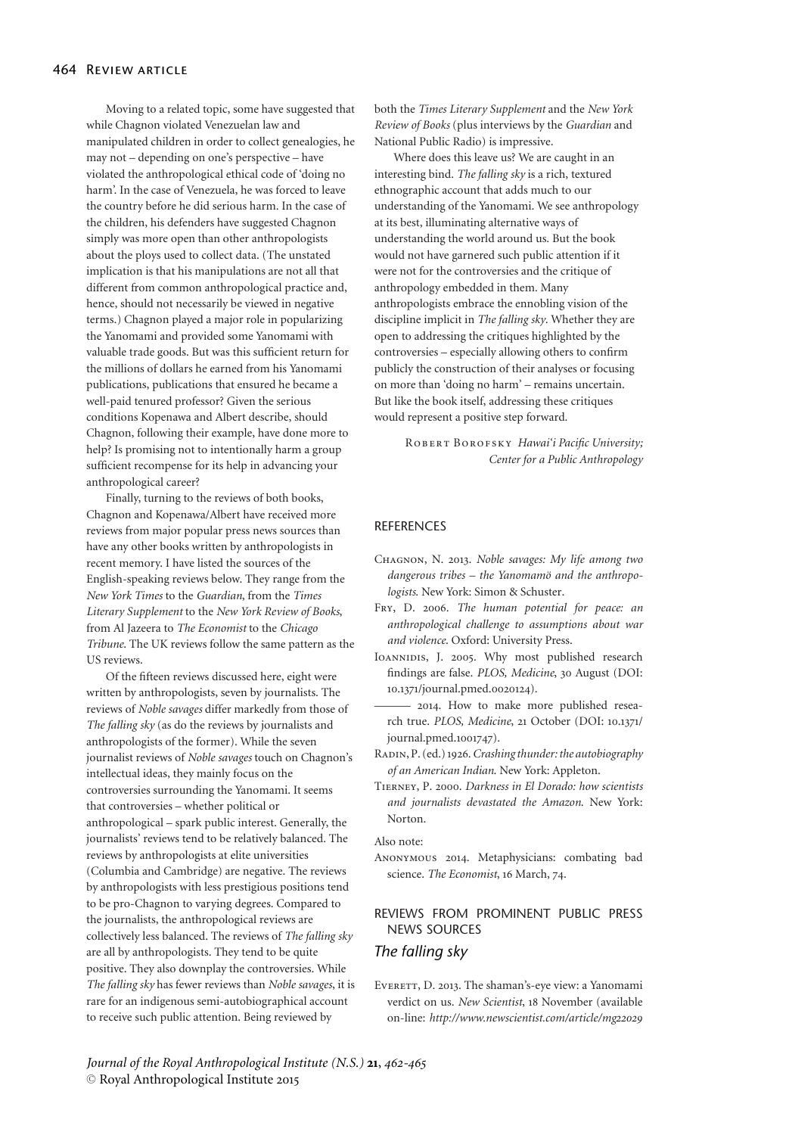Moving to a related topic, some have suggested that while Chagnon violated Venezuelan law and manipulated children in order to collect genealogies, he may not – depending on one's perspective – have violated the anthropological ethical code of 'doing no harm'. In the case of Venezuela, he was forced to leave the country before he did serious harm. In the case of the children, his defenders have suggested Chagnon simply was more open than other anthropologists about the ploys used to collect data. (The unstated implication is that his manipulations are not all that different from common anthropological practice and, hence, should not necessarily be viewed in negative terms.) Chagnon played a major role in popularizing the Yanomami and provided some Yanomami with valuable trade goods. But was this sufficient return for the millions of dollars he earned from his Yanomami publications, publications that ensured he became a well-paid tenured professor? Given the serious conditions Kopenawa and Albert describe, should Chagnon, following their example, have done more to help? Is promising not to intentionally harm a group sufficient recompense for its help in advancing your anthropological career?

Finally, turning to the reviews of both books, Chagnon and Kopenawa/Albert have received more reviews from major popular press news sources than have any other books written by anthropologists in recent memory. I have listed the sources of the English-speaking reviews below. They range from the *New York Times* to the *Guardian*, from the *Times Literary Supplement* to the *New York Review of Books*, from Al Jazeera to *The Economist* to the *Chicago Tribune*. The UK reviews follow the same pattern as the US reviews.

Of the fifteen reviews discussed here, eight were written by anthropologists, seven by journalists. The reviews of *Noble savages* differ markedly from those of *The falling sky* (as do the reviews by journalists and anthropologists of the former). While the seven journalist reviews of *Noble savages* touch on Chagnon's intellectual ideas, they mainly focus on the controversies surrounding the Yanomami. It seems that controversies – whether political or anthropological – spark public interest. Generally, the journalists' reviews tend to be relatively balanced. The reviews by anthropologists at elite universities (Columbia and Cambridge) are negative. The reviews by anthropologists with less prestigious positions tend to be pro-Chagnon to varying degrees. Compared to the journalists, the anthropological reviews are collectively less balanced. The reviews of *The falling sky* are all by anthropologists. They tend to be quite positive. They also downplay the controversies. While *The falling sky* has fewer reviews than *Noble savages*, it is rare for an indigenous semi-autobiographical account to receive such public attention. Being reviewed by

both the *Times Literary Supplement* and the *New York Review of Books* (plus interviews by the *Guardian* and National Public Radio) is impressive.

Where does this leave us? We are caught in an interesting bind. *The falling sky* is a rich, textured ethnographic account that adds much to our understanding of the Yanomami. We see anthropology at its best, illuminating alternative ways of understanding the world around us. But the book would not have garnered such public attention if it were not for the controversies and the critique of anthropology embedded in them. Many anthropologists embrace the ennobling vision of the discipline implicit in *The falling sky*. Whether they are open to addressing the critiques highlighted by the controversies – especially allowing others to confirm publicly the construction of their analyses or focusing on more than 'doing no harm' – remains uncertain. But like the book itself, addressing these critiques would represent a positive step forward.

Robert Borofsky *Hawai'i Pacific University; Center for a Public Anthropology*

#### REFERENCES

- Chagnon, N. 2013. *Noble savages: My life among two* dangerous tribes - the Yanomamö and the anthropo*logists*. New York: Simon & Schuster.
- Fry, D. 2006. *The human potential for peace: an anthropological challenge to assumptions about war and violence*. Oxford: University Press.
- IOANNIDIS, J. 2005. Why most published research findings are false. *PLOS, Medicine*, 30 August (DOI: 10.1371/journal.pmed.0020124).
- 2014. How to make more published research true. *PLOS, Medicine*, 21 October (DOI: 10.1371/ journal.pmed.1001747).
- Radin, P.(ed.)1926.*Crashingthunder:the autobiography of an American Indian*. New York: Appleton.
- Tierney, P. 2000. *Darkness in El Dorado: how scientists and journalists devastated the Amazon*. New York: Norton.

#### Also note:

*The falling sky*

Anonymous 2014. Metaphysicians: combating bad science. *The Economist*, 16 March, 74.

### REVIEWS FROM PROMINENT PUBLIC PRESS NEWS SOURCES

Everett, D. 2013. The shaman's-eye view: a Yanomami verdict on us. *New Scientist*, 18 November (available on-line: *http://www.newscientist.com/article/mg22029*